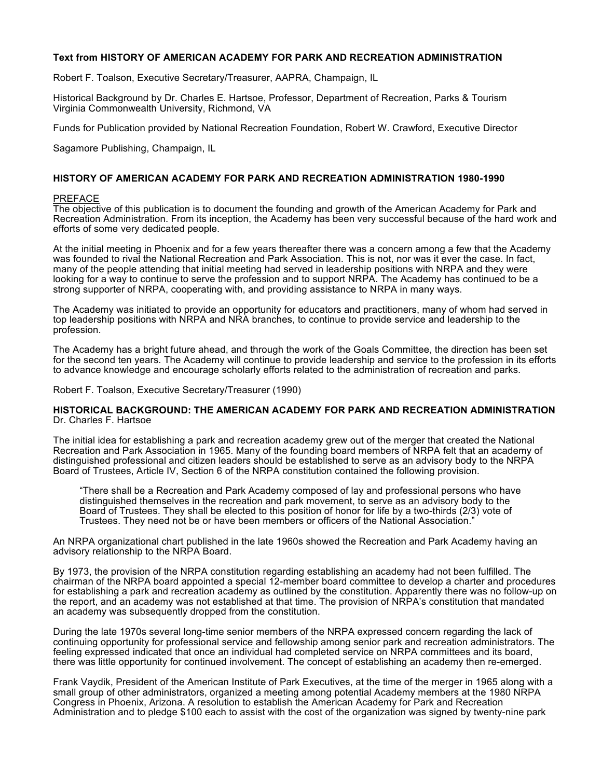### **Text from HISTORY OF AMERICAN ACADEMY FOR PARK AND RECREATION ADMINISTRATION**

Robert F. Toalson, Executive Secretary/Treasurer, AAPRA, Champaign, IL

Historical Background by Dr. Charles E. Hartsoe, Professor, Department of Recreation, Parks & Tourism Virginia Commonwealth University, Richmond, VA

Funds for Publication provided by National Recreation Foundation, Robert W. Crawford, Executive Director

Sagamore Publishing, Champaign, IL

### **HISTORY OF AMERICAN ACADEMY FOR PARK AND RECREATION ADMINISTRATION 1980-1990**

### PREFACE

The objective of this publication is to document the founding and growth of the American Academy for Park and Recreation Administration. From its inception, the Academy has been very successful because of the hard work and efforts of some very dedicated people.

At the initial meeting in Phoenix and for a few years thereafter there was a concern among a few that the Academy was founded to rival the National Recreation and Park Association. This is not, nor was it ever the case. In fact, many of the people attending that initial meeting had served in leadership positions with NRPA and they were looking for a way to continue to serve the profession and to support NRPA. The Academy has continued to be a strong supporter of NRPA, cooperating with, and providing assistance to NRPA in many ways.

The Academy was initiated to provide an opportunity for educators and practitioners, many of whom had served in top leadership positions with NRPA and NRA branches, to continue to provide service and leadership to the profession.

The Academy has a bright future ahead, and through the work of the Goals Committee, the direction has been set for the second ten years. The Academy will continue to provide leadership and service to the profession in its efforts to advance knowledge and encourage scholarly efforts related to the administration of recreation and parks.

Robert F. Toalson, Executive Secretary/Treasurer (1990)

### **HISTORICAL BACKGROUND: THE AMERICAN ACADEMY FOR PARK AND RECREATION ADMINISTRATION** Dr. Charles F. Hartsoe

The initial idea for establishing a park and recreation academy grew out of the merger that created the National Recreation and Park Association in 1965. Many of the founding board members of NRPA felt that an academy of distinguished professional and citizen leaders should be established to serve as an advisory body to the NRPA Board of Trustees, Article IV, Section 6 of the NRPA constitution contained the following provision.

"There shall be a Recreation and Park Academy composed of lay and professional persons who have distinguished themselves in the recreation and park movement, to serve as an advisory body to the Board of Trustees. They shall be elected to this position of honor for life by a two-thirds (2/3) vote of Trustees. They need not be or have been members or officers of the National Association."

An NRPA organizational chart published in the late 1960s showed the Recreation and Park Academy having an advisory relationship to the NRPA Board.

By 1973, the provision of the NRPA constitution regarding establishing an academy had not been fulfilled. The chairman of the NRPA board appointed a special 12-member board committee to develop a charter and procedures for establishing a park and recreation academy as outlined by the constitution. Apparently there was no follow-up on the report, and an academy was not established at that time. The provision of NRPA's constitution that mandated an academy was subsequently dropped from the constitution.

During the late 1970s several long-time senior members of the NRPA expressed concern regarding the lack of continuing opportunity for professional service and fellowship among senior park and recreation administrators. The feeling expressed indicated that once an individual had completed service on NRPA committees and its board, there was little opportunity for continued involvement. The concept of establishing an academy then re-emerged.

Frank Vaydik, President of the American Institute of Park Executives, at the time of the merger in 1965 along with a small group of other administrators, organized a meeting among potential Academy members at the 1980 NRPA Congress in Phoenix, Arizona. A resolution to establish the American Academy for Park and Recreation Administration and to pledge \$100 each to assist with the cost of the organization was signed by twenty-nine park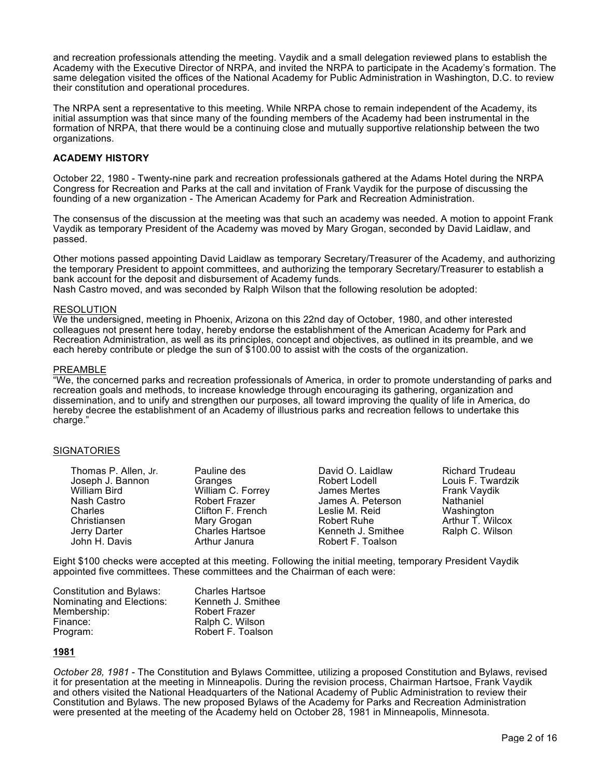and recreation professionals attending the meeting. Vaydik and a small delegation reviewed plans to establish the Academy with the Executive Director of NRPA, and invited the NRPA to participate in the Academy's formation. The same delegation visited the offices of the National Academy for Public Administration in Washington, D.C. to review their constitution and operational procedures.

The NRPA sent a representative to this meeting. While NRPA chose to remain independent of the Academy, its initial assumption was that since many of the founding members of the Academy had been instrumental in the formation of NRPA, that there would be a continuing close and mutually supportive relationship between the two organizations.

# **ACADEMY HISTORY**

October 22, 1980 - Twenty-nine park and recreation professionals gathered at the Adams Hotel during the NRPA Congress for Recreation and Parks at the call and invitation of Frank Vaydik for the purpose of discussing the founding of a new organization - The American Academy for Park and Recreation Administration.

The consensus of the discussion at the meeting was that such an academy was needed. A motion to appoint Frank Vaydik as temporary President of the Academy was moved by Mary Grogan, seconded by David Laidlaw, and passed.

Other motions passed appointing David Laidlaw as temporary Secretary/Treasurer of the Academy, and authorizing the temporary President to appoint committees, and authorizing the temporary Secretary/Treasurer to establish a bank account for the deposit and disbursement of Academy funds. Nash Castro moved, and was seconded by Ralph Wilson that the following resolution be adopted:

### RESOLUTION

We the undersigned, meeting in Phoenix, Arizona on this 22nd day of October, 1980, and other interested colleagues not present here today, hereby endorse the establishment of the American Academy for Park and Recreation Administration, as well as its principles, concept and objectives, as outlined in its preamble, and we each hereby contribute or pledge the sun of \$100.00 to assist with the costs of the organization.

### PREAMBLE

"We, the concerned parks and recreation professionals of America, in order to promote understanding of parks and recreation goals and methods, to increase knowledge through encouraging its gathering, organization and dissemination, and to unify and strengthen our purposes, all toward improving the quality of life in America, do hereby decree the establishment of an Academy of illustrious parks and recreation fellows to undertake this charge."

### **SIGNATORIES**

| Thomas P. Allen, Jr.<br>Joseph J. Bannon | Pauline des<br>Granges | David O. Laidlaw<br>Robert Lodell | <b>Richard Trudeau</b><br>Louis F. Twardzik |
|------------------------------------------|------------------------|-----------------------------------|---------------------------------------------|
| William Bird                             | William C. Forrey      | James Mertes                      | Frank Vaydik                                |
| Nash Castro                              | Robert Frazer          | James A. Peterson                 | Nathaniel                                   |
| Charles                                  | Clifton F. French      | Leslie M. Reid                    | Washington                                  |
| Christiansen                             | Mary Grogan            | Robert Ruhe                       | Arthur T. Wilcox                            |
| Jerry Darter                             | <b>Charles Hartsoe</b> | Kenneth J. Smithee                | Ralph C. Wilson                             |
| John H. Davis                            | Arthur Janura          | Robert F. Toalson                 |                                             |

Eight \$100 checks were accepted at this meeting. Following the initial meeting, temporary President Vaydik appointed five committees. These committees and the Chairman of each were:

| Constitution and Bylaws:  | <b>Charles Hartsoe</b> |
|---------------------------|------------------------|
| Nominating and Elections: | Kenneth J. Smithee     |
| Membership:               | <b>Robert Frazer</b>   |
| Finance:                  | Ralph C. Wilson        |
| Program:                  | Robert F. Toalson      |

### **1981**

*October 28, 1981* - The Constitution and Bylaws Committee, utilizing a proposed Constitution and Bylaws, revised it for presentation at the meeting in Minneapolis. During the revision process, Chairman Hartsoe, Frank Vaydik and others visited the National Headquarters of the National Academy of Public Administration to review their Constitution and Bylaws. The new proposed Bylaws of the Academy for Parks and Recreation Administration were presented at the meeting of the Academy held on October 28, 1981 in Minneapolis, Minnesota.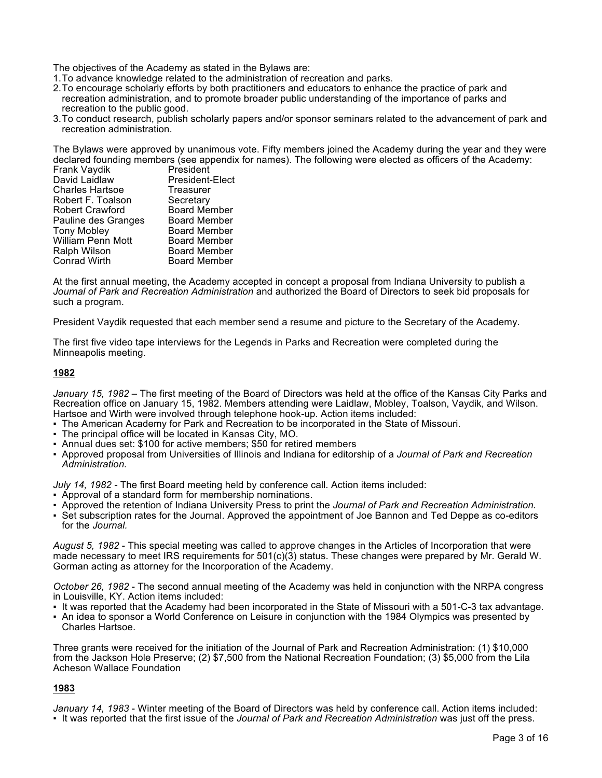The objectives of the Academy as stated in the Bylaws are:

- 1.To advance knowledge related to the administration of recreation and parks.
- 2.To encourage scholarly efforts by both practitioners and educators to enhance the practice of park and recreation administration, and to promote broader public understanding of the importance of parks and recreation to the public good.
- 3.To conduct research, publish scholarly papers and/or sponsor seminars related to the advancement of park and recreation administration.

The Bylaws were approved by unanimous vote. Fifty members joined the Academy during the year and they were declared founding members (see appendix for names). The following were elected as officers of the Academy:

| Frank Vaydik           | President           |
|------------------------|---------------------|
| David Laidlaw          | President-Elect     |
| <b>Charles Hartsoe</b> | Treasurer           |
| Robert F. Toalson      | Secretary           |
| <b>Robert Crawford</b> | <b>Board Member</b> |
| Pauline des Granges    | <b>Board Member</b> |
| <b>Tony Mobley</b>     | <b>Board Member</b> |
| William Penn Mott      | <b>Board Member</b> |
| Ralph Wilson           | <b>Board Member</b> |
| <b>Conrad Wirth</b>    | <b>Board Member</b> |
|                        |                     |

At the first annual meeting, the Academy accepted in concept a proposal from Indiana University to publish a *Journal of Park and Recreation Administration* and authorized the Board of Directors to seek bid proposals for such a program.

President Vaydik requested that each member send a resume and picture to the Secretary of the Academy.

The first five video tape interviews for the Legends in Parks and Recreation were completed during the Minneapolis meeting.

### **1982**

*January 15, 1982 –* The first meeting of the Board of Directors was held at the office of the Kansas City Parks and Recreation office on January 15, 1982. Members attending were Laidlaw, Mobley, Toalson, Vaydik, and Wilson. Hartsoe and Wirth were involved through telephone hook-up. Action items included:

- The American Academy for Park and Recreation to be incorporated in the State of Missouri.
- The principal office will be located in Kansas City, MO.
- Annual dues set: \$100 for active members; \$50 for retired members
- Approved proposal from Universities of Illinois and Indiana for editorship of a *Journal of Park and Recreation Administration.*

*July 14, 1982 -* The first Board meeting held by conference call. Action items included:

- Approval of a standard form for membership nominations.
- Approved the retention of Indiana University Press to print the *Journal of Park and Recreation Administration.*
- Set subscription rates for the Journal. Approved the appointment of Joe Bannon and Ted Deppe as co-editors for the *Journal.*

*August 5, 1982* - This special meeting was called to approve changes in the Articles of Incorporation that were made necessary to meet IRS requirements for 501(c)(3) status. These changes were prepared by Mr. Gerald W. Gorman acting as attorney for the Incorporation of the Academy.

*October 26, 1982* - The second annual meeting of the Academy was held in conjunction with the NRPA congress in Louisville, KY. Action items included:

- It was reported that the Academy had been incorporated in the State of Missouri with a 501-C-3 tax advantage.
- An idea to sponsor a World Conference on Leisure in conjunction with the 1984 Olympics was presented by Charles Hartsoe.

Three grants were received for the initiation of the Journal of Park and Recreation Administration: (1) \$10,000 from the Jackson Hole Preserve; (2) \$7,500 from the National Recreation Foundation; (3) \$5,000 from the Lila Acheson Wallace Foundation

## **1983**

*January 14, 1983* - Winter meeting of the Board of Directors was held by conference call. Action items included:

▪ It was reported that the first issue of the *Journal of Park and Recreation Administration* was just off the press.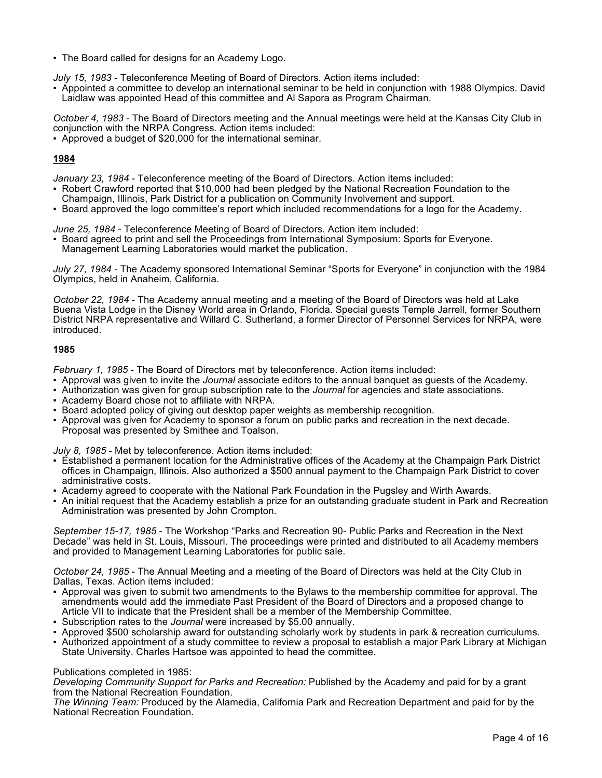▪ The Board called for designs for an Academy Logo.

*July 15, 1983* - Teleconference Meeting of Board of Directors. Action items included:

▪ Appointed a committee to develop an international seminar to be held in conjunction with 1988 Olympics. David Laidlaw was appointed Head of this committee and Al Sapora as Program Chairman.

*October 4, 1983* - The Board of Directors meeting and the Annual meetings were held at the Kansas City Club in conjunction with the NRPA Congress. Action items included:

▪ Approved a budget of \$20,000 for the international seminar.

# **1984**

*January 23, 1984* - Teleconference meeting of the Board of Directors. Action items included:

- Robert Crawford reported that \$10,000 had been pledged by the National Recreation Foundation to the
- Champaign, Illinois, Park District for a publication on Community Involvement and support. ▪ Board approved the logo committee's report which included recommendations for a logo for the Academy.
- 

*June 25, 1984* - Teleconference Meeting of Board of Directors. Action item included:

▪ Board agreed to print and sell the Proceedings from International Symposium: Sports for Everyone. Management Learning Laboratories would market the publication.

*July 27, 1984 -* The Academy sponsored International Seminar "Sports for Everyone" in conjunction with the 1984 Olympics, held in Anaheim, California.

*October 22, 1984* - The Academy annual meeting and a meeting of the Board of Directors was held at Lake Buena Vista Lodge in the Disney World area in Orlando, Florida. Special guests Temple Jarrell, former Southern District NRPA representative and Willard C. Sutherland, a former Director of Personnel Services for NRPA, were introduced.

## **1985**

*February 1, 1985* - The Board of Directors met by teleconference. Action items included:

- Approval was given to invite the *Journal* associate editors to the annual banquet as guests of the Academy.
- Authorization was given for group subscription rate to the *Journal* for agencies and state associations.
- Academy Board chose not to affiliate with NRPA.
- Board adopted policy of giving out desktop paper weights as membership recognition.
- Approval was given for Academy to sponsor a forum on public parks and recreation in the next decade. Proposal was presented by Smithee and Toalson.

*July 8, 1985* - Met by teleconference. Action items included:

- Established a permanent location for the Administrative offices of the Academy at the Champaign Park District offices in Champaign, Illinois. Also authorized a \$500 annual payment to the Champaign Park District to cover administrative costs.
- Academy agreed to cooperate with the National Park Foundation in the Pugsley and Wirth Awards.
- An initial request that the Academy establish a prize for an outstanding graduate student in Park and Recreation Administration was presented by John Crompton.

*September 15-17, 1985* - The Workshop "Parks and Recreation 90- Public Parks and Recreation in the Next Decade" was held in St. Louis, Missouri. The proceedings were printed and distributed to all Academy members and provided to Management Learning Laboratories for public sale.

*October 24, 1985* - The Annual Meeting and a meeting of the Board of Directors was held at the City Club in Dallas, Texas. Action items included:

- Approval was given to submit two amendments to the Bylaws to the membership committee for approval. The amendments would add the immediate Past President of the Board of Directors and a proposed change to Article VII to indicate that the President shall be a member of the Membership Committee.
- Subscription rates to the *Journal* were increased by \$5.00 annually.
- Approved \$500 scholarship award for outstanding scholarly work by students in park & recreation curriculums.
- Authorized appointment of a study committee to review a proposal to establish a major Park Library at Michigan State University. Charles Hartsoe was appointed to head the committee.

Publications completed in 1985:

*Developing Community Support for Parks and Recreation:* Published by the Academy and paid for by a grant from the National Recreation Foundation.

*The Winning Team:* Produced by the Alamedia, California Park and Recreation Department and paid for by the National Recreation Foundation.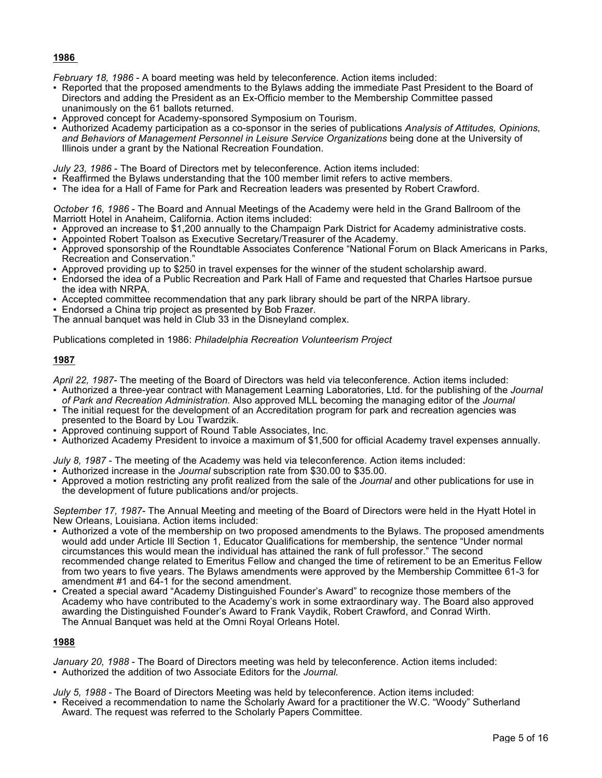# **1986**

*February 18, 1986* - A board meeting was held by teleconference. Action items included:

- Reported that the proposed amendments to the Bylaws adding the immediate Past President to the Board of Directors and adding the President as an Ex-Officio member to the Membership Committee passed unanimously on the 61 ballots returned.
- Approved concept for Academy-sponsored Symposium on Tourism.
- Authorized Academy participation as a co-sponsor in the series of publications *Analysis of Attitudes, Opinions, and Behaviors of Management Personnel in Leisure Service Organizations* being done at the University of Illinois under a grant by the National Recreation Foundation.

*July 23, 1986* - The Board of Directors met by teleconference. Action items included:

- Reaffirmed the Bylaws understanding that the 100 member limit refers to active members.
- The idea for a Hall of Fame for Park and Recreation leaders was presented by Robert Crawford.

*October 16, 1986* - The Board and Annual Meetings of the Academy were held in the Grand Ballroom of the Marriott Hotel in Anaheim, California. Action items included:

- Approved an increase to \$1,200 annually to the Champaign Park District for Academy administrative costs.
- Appointed Robert Toalson as Executive Secretary/Treasurer of the Academy.
- Approved sponsorship of the Roundtable Associates Conference "National Forum on Black Americans in Parks, Recreation and Conservation."
- Approved providing up to \$250 in travel expenses for the winner of the student scholarship award.
- Endorsed the idea of a Public Recreation and Park Hall of Fame and requested that Charles Hartsoe pursue the idea with NRPA.
- Accepted committee recommendation that any park library should be part of the NRPA library.
- **Endorsed a China trip project as presented by Bob Frazer.**
- The annual banquet was held in Club 33 in the Disneyland complex.

Publications completed in 1986: *Philadelphia Recreation Volunteerism Project*

## **1987**

*April 22, 1987-* The meeting of the Board of Directors was held via teleconference. Action items included:

- Authorized a three-year contract with Management Learning Laboratories, Ltd. for the publishing of the *Journal of Park and Recreation Administration.* Also approved MLL becoming the managing editor of the *Journal*
- The initial request for the development of an Accreditation program for park and recreation agencies was presented to the Board by Lou Twardzik.
- Approved continuing support of Round Table Associates, Inc.
- Authorized Academy President to invoice a maximum of \$1,500 for official Academy travel expenses annually.

*July 8, 1987* - The meeting of the Academy was held via teleconference. Action items included:

- Authorized increase in the *Journal* subscription rate from \$30.00 to \$35.00.
- Approved a motion restricting any profit realized from the sale of the *Journal* and other publications for use in the development of future publications and/or projects.

*September 17, 1987-* The Annual Meeting and meeting of the Board of Directors were held in the Hyatt Hotel in New Orleans, Louisiana. Action items included:

- Authorized a vote of the membership on two proposed amendments to the Bylaws. The proposed amendments would add under Article Ill Section 1, Educator Qualifications for membership, the sentence "Under normal circumstances this would mean the individual has attained the rank of full professor." The second recommended change related to Emeritus Fellow and changed the time of retirement to be an Emeritus Fellow from two years to five years. The Bylaws amendments were approved by the Membership Committee 61-3 for amendment #1 and 64-1 for the second amendment.
- Created a special award "Academy Distinguished Founder's Award" to recognize those members of the Academy who have contributed to the Academy's work in some extraordinary way. The Board also approved awarding the Distinguished Founder's Award to Frank Vaydik, Robert Crawford, and Conrad Wirth. The Annual Banquet was held at the Omni Royal Orleans Hotel.

## **1988**

*January 20, 1988* - The Board of Directors meeting was held by teleconference. Action items included: ▪ Authorized the addition of two Associate Editors for the *Journal.*

- *July 5, 1988*  The Board of Directors Meeting was held by teleconference. Action items included:
- Received a recommendation to name the Scholarly Award for a practitioner the W.C. "Woody" Sutherland Award. The request was referred to the Scholarly Papers Committee.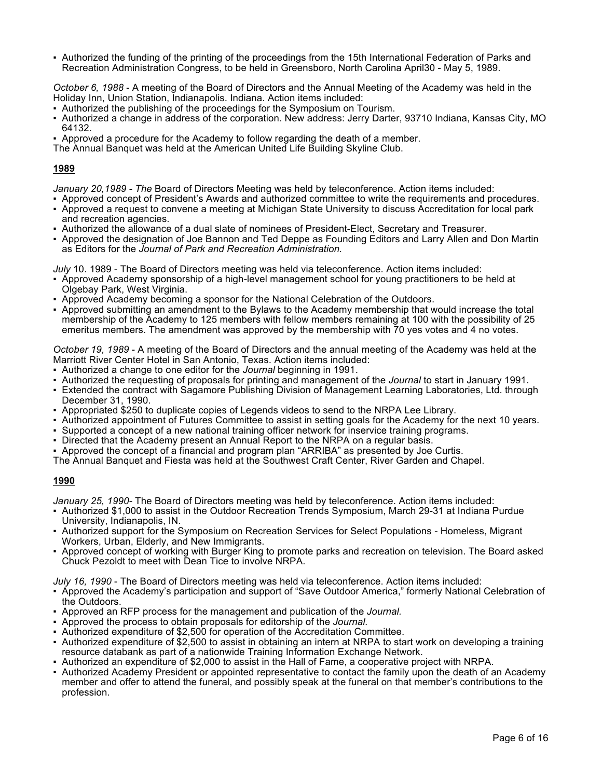▪ Authorized the funding of the printing of the proceedings from the 15th International Federation of Parks and Recreation Administration Congress, to be held in Greensboro, North Carolina April30 - May 5, 1989.

*October 6, 1988* - A meeting of the Board of Directors and the Annual Meeting of the Academy was held in the Holiday Inn, Union Station, Indianapolis. Indiana. Action items included:

- Authorized the publishing of the proceedings for the Symposium on Tourism.
- Authorized a change in address of the corporation. New address: Jerry Darter, 93710 Indiana, Kansas City, MO 64132.
- Approved a procedure for the Academy to follow regarding the death of a member.

The Annual Banquet was held at the American United Life Building Skyline Club.

# **1989**

*January 20,1989 - The* Board of Directors Meeting was held by teleconference. Action items included:

- Approved concept of President's Awards and authorized committee to write the requirements and procedures.
- Approved a request to convene a meeting at Michigan State University to discuss Accreditation for local park and recreation agencies.
- Authorized the allowance of a dual slate of nominees of President-Elect, Secretary and Treasurer.
- Approved the designation of Joe Bannon and Ted Deppe as Founding Editors and Larry Allen and Don Martin as Editors for the *Journal of Park and Recreation Administration.*

*July* 10. 1989 - The Board of Directors meeting was held via teleconference. Action items included:

- Approved Academy sponsorship of a high-level management school for young practitioners to be held at Olgebay Park, West Virginia.
- Approved Academy becoming a sponsor for the National Celebration of the Outdoors.
- Approved submitting an amendment to the Bylaws to the Academy membership that would increase the total membership of the Academy to 125 members with fellow members remaining at 100 with the possibility of 25 emeritus members. The amendment was approved by the membership with  $\bar{7}0$  yes votes and 4 no votes.

*October 19, 1989* - A meeting of the Board of Directors and the annual meeting of the Academy was held at the Marriott River Center Hotel in San Antonio, Texas. Action items included:

- Authorized a change to one editor for the *Journal* beginning in 1991.
- Authorized the requesting of proposals for printing and management of the *Journal* to start in January 1991.
- Extended the contract with Sagamore Publishing Division of Management Learning Laboratories, Ltd. through December 31, 1990.
- Appropriated \$250 to duplicate copies of Legends videos to send to the NRPA Lee Library.
- Authorized appointment of Futures Committee to assist in setting goals for the Academy for the next 10 years.
- Supported a concept of a new national training officer network for inservice training programs.
- Directed that the Academy present an Annual Report to the NRPA on a regular basis.
- Approved the concept of a financial and program plan "ARRIBA" as presented by Joe Curtis.
- The Annual Banquet and Fiesta was held at the Southwest Craft Center, River Garden and Chapel.

## **1990**

*January 25, 1990-* The Board of Directors meeting was held by teleconference. Action items included:

- Authorized \$1,000 to assist in the Outdoor Recreation Trends Symposium, March 29-31 at Indiana Purdue University, Indianapolis, IN.
- Authorized support for the Symposium on Recreation Services for Select Populations Homeless, Migrant Workers, Urban, Elderly, and New Immigrants.
- Approved concept of working with Burger King to promote parks and recreation on television. The Board asked Chuck Pezoldt to meet with Dean Tice to involve NRPA.
- *July 16, 1990*  The Board of Directors meeting was held via teleconference. Action items included:
- Approved the Academy's participation and support of "Save Outdoor America," formerly National Celebration of the Outdoors.
- Approved an RFP process for the management and publication of the *Journal*.
- Approved the process to obtain proposals for editorship of the *Journal.*
- Authorized expenditure of \$2,500 for operation of the Accreditation Committee.
- Authorized expenditure of \$2,500 to assist in obtaining an intern at NRPA to start work on developing a training resource databank as part of a nationwide Training Information Exchange Network.
- Authorized an expenditure of \$2,000 to assist in the Hall of Fame, a cooperative project with NRPA.
- Authorized Academy President or appointed representative to contact the family upon the death of an Academy member and offer to attend the funeral, and possibly speak at the funeral on that member's contributions to the profession.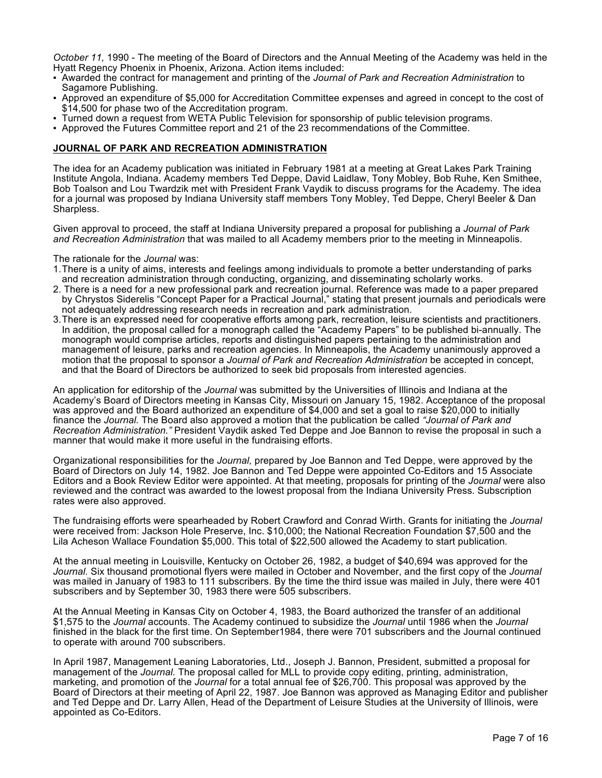*October 11,* 1990 - The meeting of the Board of Directors and the Annual Meeting of the Academy was held in the Hvatt Regency Phoenix in Phoenix, Arizona. Action items included:

- Awarded the contract for management and printing of the *Journal of Park and Recreation Administration* to Sagamore Publishing.
- Approved an expenditure of \$5,000 for Accreditation Committee expenses and agreed in concept to the cost of \$14,500 for phase two of the Accreditation program.
- Turned down a request from WETA Public Television for sponsorship of public television programs.
- Approved the Futures Committee report and 21 of the 23 recommendations of the Committee.

### **JOURNAL OF PARK AND RECREATION ADMINISTRATION**

The idea for an Academy publication was initiated in February 1981 at a meeting at Great Lakes Park Training Institute Angola, Indiana. Academy members Ted Deppe, David Laidlaw, Tony Mobley, Bob Ruhe, Ken Smithee, Bob Toalson and Lou Twardzik met with President Frank Vaydik to discuss programs for the Academy. The idea for a journal was proposed by Indiana University staff members Tony Mobley, Ted Deppe, Cheryl Beeler & Dan Sharpless.

Given approval to proceed, the staff at Indiana University prepared a proposal for publishing a *Journal of Park and Recreation Administration* that was mailed to all Academy members prior to the meeting in Minneapolis.

The rationale for the *Journal* was:

- 1.There is a unity of aims, interests and feelings among individuals to promote a better understanding of parks and recreation administration through conducting, organizing, and disseminating scholarly works.
- 2. There is a need for a new professional park and recreation journal. Reference was made to a paper prepared by Chrystos Siderelis "Concept Paper for a Practical Journal," stating that present journals and periodicals were not adequately addressing research needs in recreation and park administration.
- 3.There is an expressed need for cooperative efforts among park, recreation, leisure scientists and practitioners. In addition, the proposal called for a monograph called the "Academy Papers" to be published bi-annually. The monograph would comprise articles, reports and distinguished papers pertaining to the administration and management of leisure, parks and recreation agencies. In Minneapolis, the Academy unanimously approved a motion that the proposal to sponsor a *Journal of Park and Recreation Administration* be accepted in concept, and that the Board of Directors be authorized to seek bid proposals from interested agencies.

An application for editorship of the *Journal* was submitted by the Universities of Illinois and Indiana at the Academy's Board of Directors meeting in Kansas City, Missouri on January 15, 1982. Acceptance of the proposal was approved and the Board authorized an expenditure of \$4,000 and set a goal to raise \$20,000 to initially finance the *Journal.* The Board also approved a motion that the publication be called *"Journal of Park and Recreation Administration."* President Vaydik asked Ted Deppe and Joe Bannon to revise the proposal in such a manner that would make it more useful in the fundraising efforts.

Organizational responsibilities for the *Journal,* prepared by Joe Bannon and Ted Deppe, were approved by the Board of Directors on July 14, 1982. Joe Bannon and Ted Deppe were appointed Co-Editors and 15 Associate Editors and a Book Review Editor were appointed. At that meeting, proposals for printing of the *Journal* were also reviewed and the contract was awarded to the lowest proposal from the Indiana University Press. Subscription rates were also approved.

The fundraising efforts were spearheaded by Robert Crawford and Conrad Wirth. Grants for initiating the *Journal*  were received from: Jackson Hole Preserve, Inc. \$10,000; the National Recreation Foundation \$7,500 and the Lila Acheson Wallace Foundation \$5,000. This total of \$22,500 allowed the Academy to start publication*.*

At the annual meeting in Louisville, Kentucky on October 26, 1982, a budget of \$40,694 was approved for the *Journal.* Six thousand promotional flyers were mailed in October and November, and the first copy of the *Journal*  was mailed in January of 1983 to 111 subscribers. By the time the third issue was mailed in July, there were 401 subscribers and by September 30, 1983 there were 505 subscribers.

At the Annual Meeting in Kansas City on October 4, 1983, the Board authorized the transfer of an additional \$1,575 to the *Journal* accounts. The Academy continued to subsidize the *Journal* until 1986 when the *Journal*  finished in the black for the first time. On September1984, there were 701 subscribers and the Journal continued to operate with around 700 subscribers.

In April 1987, Management Leaning Laboratories, Ltd., Joseph J. Bannon, President, submitted a proposal for management of the *Journal.* The proposal called for MLL to provide copy editing, printing, administration, marketing, and promotion of the *Journal* for a total annual fee of \$26,700. This proposal was approved by the Board of Directors at their meeting of April 22, 1987. Joe Bannon was approved as Managing Editor and publisher and Ted Deppe and Dr. Larry Allen, Head of the Department of Leisure Studies at the University of Illinois, were appointed as Co-Editors.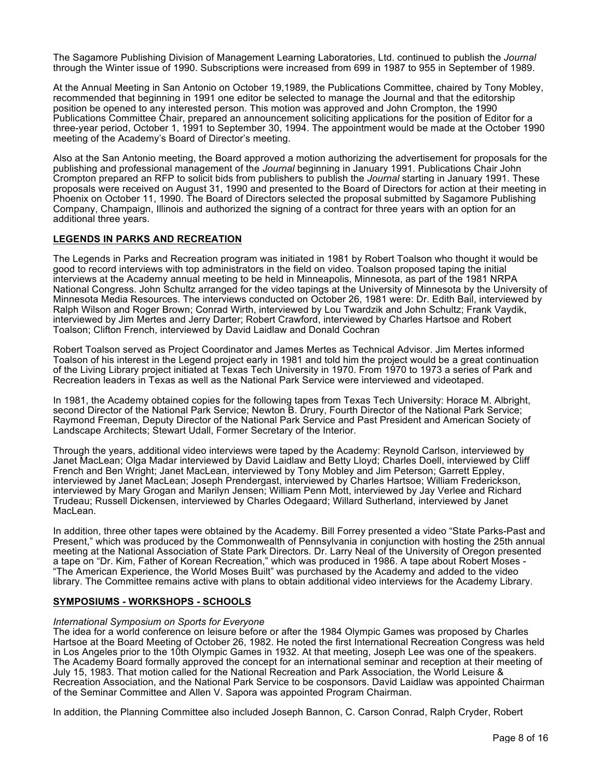The Sagamore Publishing Division of Management Learning Laboratories, Ltd. continued to publish the *Journal*  through the Winter issue of 1990. Subscriptions were increased from 699 in 1987 to 955 in September of 1989.

At the Annual Meeting in San Antonio on October 19,1989, the Publications Committee, chaired by Tony Mobley, recommended that beginning in 1991 one editor be selected to manage the Journal and that the editorship position be opened to any interested person. This motion was approved and John Crompton, the 1990 Publications Committee Chair, prepared an announcement soliciting applications for the position of Editor for a three-year period, October 1, 1991 to September 30, 1994. The appointment would be made at the October 1990 meeting of the Academy's Board of Director's meeting.

Also at the San Antonio meeting, the Board approved a motion authorizing the advertisement for proposals for the publishing and professional management of the *Journal* beginning in January 1991. Publications Chair John Crompton prepared an RFP to solicit bids from publishers to publish the *Journal* starting in January 1991. These proposals were received on August 31, 1990 and presented to the Board of Directors for action at their meeting in Phoenix on October 11, 1990. The Board of Directors selected the proposal submitted by Sagamore Publishing Company, Champaign, Illinois and authorized the signing of a contract for three years with an option for an additional three years.

## **LEGENDS IN PARKS AND RECREATION**

The Legends in Parks and Recreation program was initiated in 1981 by Robert Toalson who thought it would be good to record interviews with top administrators in the field on video. Toalson proposed taping the initial interviews at the Academy annual meeting to be held in Minneapolis, Minnesota, as part of the 1981 NRPA National Congress. John Schultz arranged for the video tapings at the University of Minnesota by the University of Minnesota Media Resources. The interviews conducted on October 26, 1981 were: Dr. Edith Bail, interviewed by Ralph Wilson and Roger Brown; Conrad Wirth, interviewed by Lou Twardzik and John Schultz; Frank Vaydik, interviewed by Jim Mertes and Jerry Darter; Robert Crawford, interviewed by Charles Hartsoe and Robert Toalson; Clifton French, interviewed by David Laidlaw and Donald Cochran

Robert Toalson served as Project Coordinator and James Mertes as Technical Advisor. Jim Mertes informed Toalson of his interest in the Legend project early in 1981 and told him the project would be a great continuation of the Living Library project initiated at Texas Tech University in 1970. From 1970 to 1973 a series of Park and Recreation leaders in Texas as well as the National Park Service were interviewed and videotaped.

In 1981, the Academy obtained copies for the following tapes from Texas Tech University: Horace M. Albright, second Director of the National Park Service; Newton B. Drury, Fourth Director of the National Park Service; Raymond Freeman, Deputy Director of the National Park Service and Past President and American Society of Landscape Architects; Stewart Udall, Former Secretary of the Interior.

Through the years, additional video interviews were taped by the Academy: Reynold Carlson, interviewed by Janet MacLean; Olga Madar interviewed by David Laidlaw and Betty Lloyd; Charles Doell, interviewed by Cliff French and Ben Wright; Janet MacLean, interviewed by Tony Mobley and Jim Peterson; Garrett Eppley, interviewed by Janet MacLean; Joseph Prendergast, interviewed by Charles Hartsoe; William Frederickson, interviewed by Mary Grogan and Marilyn Jensen; William Penn Mott, interviewed by Jay Verlee and Richard Trudeau; Russell Dickensen, interviewed by Charles Odegaard; Willard Sutherland, interviewed by Janet MacLean.

In addition, three other tapes were obtained by the Academy. Bill Forrey presented a video "State Parks-Past and Present," which was produced by the Commonwealth of Pennsylvania in conjunction with hosting the 25th annual meeting at the National Association of State Park Directors. Dr. Larry Neal of the University of Oregon presented a tape on "Dr. Kim, Father of Korean Recreation," which was produced in 1986. A tape about Robert Moses - "The American Experience, the World Moses Built" was purchased by the Academy and added to the video library. The Committee remains active with plans to obtain additional video interviews for the Academy Library.

## **SYMPOSIUMS - WORKSHOPS - SCHOOLS**

### *International Symposium on Sports for Everyone*

The idea for a world conference on leisure before or after the 1984 Olympic Games was proposed by Charles Hartsoe at the Board Meeting of October 26, 1982. He noted the first International Recreation Congress was held in Los Angeles prior to the 10th Olympic Games in 1932. At that meeting, Joseph Lee was one of the speakers. The Academy Board formally approved the concept for an international seminar and reception at their meeting of July 15, 1983. That motion called for the National Recreation and Park Association, the World Leisure & Recreation Association, and the National Park Service to be cosponsors. David Laidlaw was appointed Chairman of the Seminar Committee and Allen V. Sapora was appointed Program Chairman.

In addition, the Planning Committee also included Joseph Bannon, C. Carson Conrad, Ralph Cryder, Robert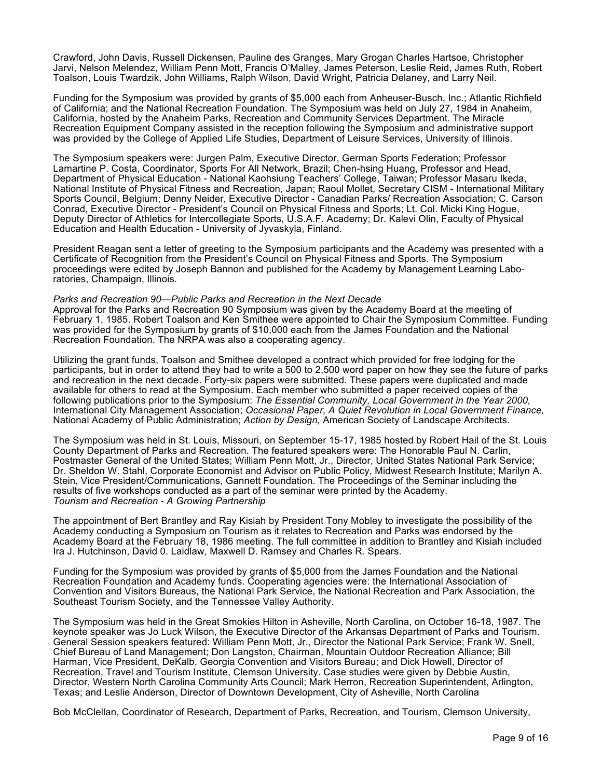Crawford, John Davis, Russell Dickensen, Pauline des Granges, Mary Grogan Charles Hartsoe, Christopher Jarvi, Nelson Melendez, William Penn Mott, Francis O'Malley, James Peterson, Leslie Reid, James Ruth, Robert Toalson, Louis Twardzik, John Williams, Ralph Wilson, David Wright, Patricia Delaney, and Larry Neil.

Funding for the Symposium was provided by grants of \$5,000 each from Anheuser-Busch, Inc.; Atlantic Richfield of California; and the National Recreation Foundation. The Symposium was held on July 27, 1984 in Anaheim, California, hosted by the Anaheim Parks, Recreation and Community Services Department. The Miracle Recreation Equipment Company assisted in the reception following the Symposium and administrative support was provided by the College of Applied Life Studies, Department of Leisure Services, University of Illinois.

The Symposium speakers were: Jurgen Palm, Executive Director, German Sports Federation; Professor Lamartine P. Costa, Coordinator, Sports For All Network, Brazil; Chen-hsing Huang, Professor and Head, Department of Physical Education - National Kaohsiung Teachers' College, Taiwan; Professor Masaru Ikeda, National Institute of Physical Fitness and Recreation, Japan; Raoul Mollet, Secretary CISM - International Military Sports Council, Belgium; Denny Neider, Executive Director - Canadian Parks/ Recreation Association; C. Carson Conrad, Executive Director - President's Council on Physical Fitness and Sports; Lt. Col. Micki King Hogue, Deputy Director of Athletics for Intercollegiate Sports, U.S.A.F. Academy; Dr. Kalevi Olin, Faculty of Physical Education and Health Education - University of Jyvaskyla, Finland.

President Reagan sent a letter of greeting to the Symposium participants and the Academy was presented with a Certificate of Recognition from the President's Council on Physical Fitness and Sports. The Symposium proceedings were edited by Joseph Bannon and published for the Academy by Management Learning Laboratories, Champaign, Illinois.

#### *Parks and Recreation 90—Public Parks and Recreation in the Next Decade*

Approval for the Parks and Recreation 90 Symposium was given by the Academy Board at the meeting of February 1, 1985. Robert Toalson and Ken Smithee were appointed to Chair the Symposium Committee. Funding was provided for the Symposium by grants of \$10,000 each from the James Foundation and the National Recreation Foundation. The NRPA was also a cooperating agency.

Utilizing the grant funds, Toalson and Smithee developed a contract which provided for free lodging for the participants, but in order to attend they had to write a 500 to 2,500 word paper on how they see the future of parks and recreation in the next decade. Forty-six papers were submitted. These papers were duplicated and made available for others to read at the Symposium. Each member who submitted a paper received copies of the following publications prior to the Symposium: *The Essential Community, Local Government in the Year 2000,*  International City Management Association; *Occasional Paper, A Quiet Revolution in Local Government Finance,*  National Academy of Public Administration; *Action by Design,* American Society of Landscape Architects.

The Symposium was held in St. Louis, Missouri, on September 15-17, 1985 hosted by Robert Hail of the St. Louis County Department of Parks and Recreation. The featured speakers were: The Honorable Paul N. Carlin, Postmaster General of the United States; William Penn Mott, Jr., Director, United States National Park Service; Dr. Sheldon W. Stahl, Corporate Economist and Advisor on Public Policy, Midwest Research Institute; Marilyn A. Stein, Vice President/Communications, Gannett Foundation. The Proceedings of the Seminar including the results of five workshops conducted as a part of the seminar were printed by the Academy. *Tourism and Recreation* - *A Growing Partnership*

The appointment of Bert Brantley and Ray Kisiah by President Tony Mobley to investigate the possibility of the Academy conducting a Symposium on Tourism as it relates to Recreation and Parks was endorsed by the Academy Board at the February 18, 1986 meeting. The full committee in addition to Brantley and Kisiah included Ira J. Hutchinson, David 0. Laidlaw, Maxwell D. Ramsey and Charles R. Spears.

Funding for the Symposium was provided by grants of \$5,000 from the James Foundation and the National Recreation Foundation and Academy funds. Cooperating agencies were: the International Association of Convention and Visitors Bureaus, the National Park Service, the National Recreation and Park Association, the Southeast Tourism Society, and the Tennessee Valley Authority.

The Symposium was held in the Great Smokies Hilton in Asheville, North Carolina, on October 16-18, 1987. The keynote speaker was Jo Luck Wilson, the Executive Director of the Arkansas Department of Parks and Tourism. General Session speakers featured: William Penn Mott, Jr., Director the National Park Service; Frank W. Snell, Chief Bureau of Land Management; Don Langston, Chairman, Mountain Outdoor Recreation Alliance; Bill Harman, Vice President, DeKalb, Georgia Convention and Visitors Bureau; and Dick Howell, Director of Recreation, Travel and Tourism Institute, Clemson University. Case studies were given by Debbie Austin, Director, Western North Carolina Community Arts Council; Mark Herron, Recreation Superintendent, Arlington, Texas; and Leslie Anderson, Director of Downtown Development, City of Asheville, North Carolina

Bob McClellan, Coordinator of Research, Department of Parks, Recreation, and Tourism, Clemson University,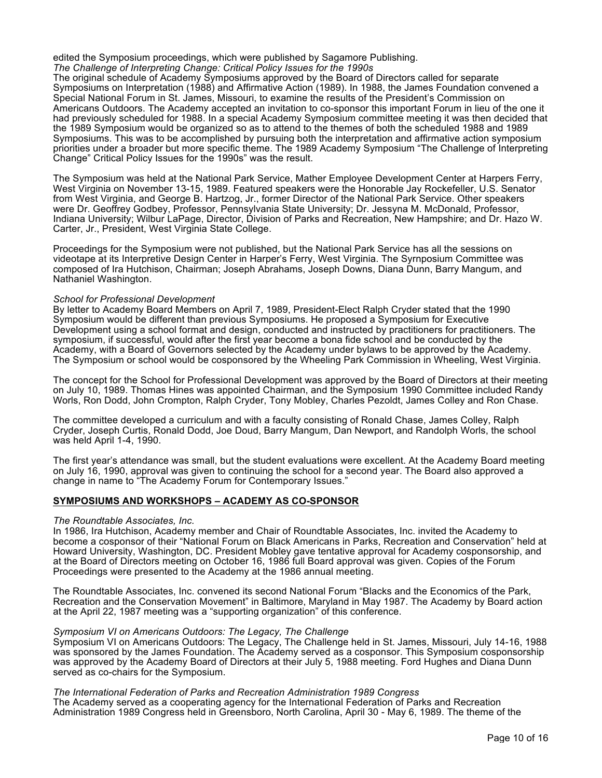edited the Symposium proceedings, which were published by Sagamore Publishing. *The Challenge of Interpreting Change: Critical Policy Issues for the 1990s*

The original schedule of Academy Symposiums approved by the Board of Directors called for separate Symposiums on Interpretation (1988) and Affirmative Action (1989). In 1988, the James Foundation convened a Special National Forum in St. James, Missouri, to examine the results of the President's Commission on Americans Outdoors. The Academy accepted an invitation to co-sponsor this important Forum in lieu of the one it had previously scheduled for 1988. In a special Academy Symposium committee meeting it was then decided that the 1989 Symposium would be organized so as to attend to the themes of both the scheduled 1988 and 1989 Symposiums. This was to be accomplished by pursuing both the interpretation and affirmative action symposium priorities under a broader but more specific theme. The 1989 Academy Symposium "The Challenge of Interpreting Change" Critical Policy Issues for the 1990s" was the result.

The Symposium was held at the National Park Service, Mather Employee Development Center at Harpers Ferry, West Virginia on November 13-15, 1989. Featured speakers were the Honorable Jay Rockefeller, U.S. Senator from West Virginia, and George B. Hartzog, Jr., former Director of the National Park Service. Other speakers were Dr. Geoffrey Godbey, Professor, Pennsylvania State University; Dr. Jessyna M. McDonald, Professor, Indiana University; Wilbur LaPage, Director, Division of Parks and Recreation, New Hampshire; and Dr. Hazo W. Carter, Jr., President, West Virginia State College.

Proceedings for the Symposium were not published, but the National Park Service has all the sessions on videotape at its Interpretive Design Center in Harper's Ferry, West Virginia. The Syrnposium Committee was composed of Ira Hutchison, Chairman; Joseph Abrahams, Joseph Downs, Diana Dunn, Barry Mangum, and Nathaniel Washington.

#### *School for Professional Development*

By letter to Academy Board Members on April 7, 1989, President-Elect Ralph Cryder stated that the 1990 Symposium would be different than previous Symposiums. He proposed a Symposium for Executive Development using a school format and design, conducted and instructed by practitioners for practitioners. The symposium, if successful, would after the first year become a bona fide school and be conducted by the Academy, with a Board of Governors selected by the Academy under bylaws to be approved by the Academy. The Symposium or school would be cosponsored by the Wheeling Park Commission in Wheeling, West Virginia.

The concept for the School for Professional Development was approved by the Board of Directors at their meeting on July 10, 1989. Thomas Hines was appointed Chairman, and the Symposium 1990 Committee included Randy Worls, Ron Dodd, John Crompton, Ralph Cryder, Tony Mobley, Charles Pezoldt, James Colley and Ron Chase.

The committee developed a curriculum and with a faculty consisting of Ronald Chase, James Colley, Ralph Cryder, Joseph Curtis, Ronald Dodd, Joe Doud, Barry Mangum, Dan Newport, and Randolph Worls, the school was held April 1-4, 1990.

The first year's attendance was small, but the student evaluations were excellent. At the Academy Board meeting on July 16, 1990, approval was given to continuing the school for a second year. The Board also approved a change in name to "The Academy Forum for Contemporary Issues."

## **SYMPOSIUMS AND WORKSHOPS – ACADEMY AS CO-SPONSOR**

### *The Roundtable Associates, Inc.*

In 1986, Ira Hutchison, Academy member and Chair of Roundtable Associates, Inc. invited the Academy to become a cosponsor of their "National Forum on Black Americans in Parks, Recreation and Conservation" held at Howard University, Washington, DC. President Mobley gave tentative approval for Academy cosponsorship, and at the Board of Directors meeting on October 16, 1986 full Board approval was given. Copies of the Forum Proceedings were presented to the Academy at the 1986 annual meeting.

The Roundtable Associates, Inc. convened its second National Forum "Blacks and the Economics of the Park, Recreation and the Conservation Movement" in Baltimore, Maryland in May 1987. The Academy by Board action at the April 22, 1987 meeting was a "supporting organization" of this conference.

### *Symposium VI on Americans Outdoors: The Legacy, The Challenge*

Symposium VI on Americans Outdoors: The Legacy, The Challenge held in St. James, Missouri, July 14-16, 1988 was sponsored by the James Foundation. The Academy served as a cosponsor. This Symposium cosponsorship was approved by the Academy Board of Directors at their July 5, 1988 meeting. Ford Hughes and Diana Dunn served as co-chairs for the Symposium.

### *The International Federation of Parks and Recreation Administration 1989 Congress*

The Academy served as a cooperating agency for the International Federation of Parks and Recreation Administration 1989 Congress held in Greensboro, North Carolina, April 30 - May 6, 1989. The theme of the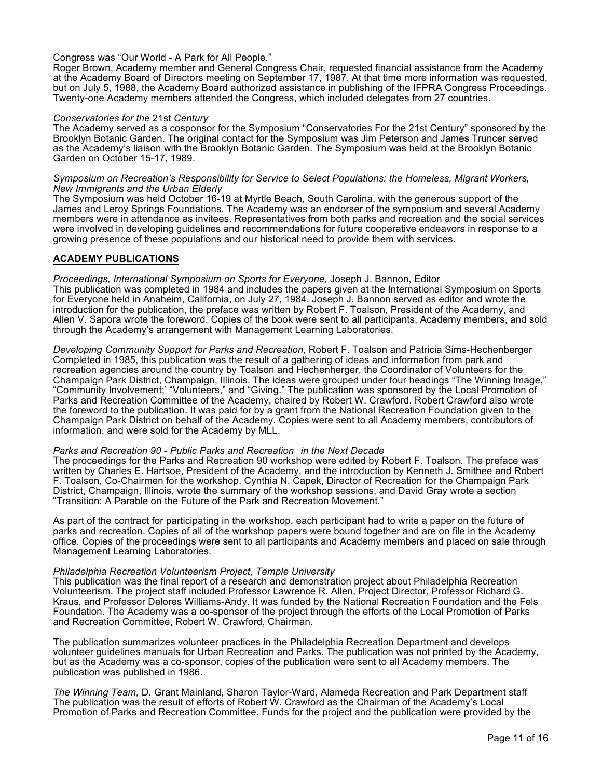### Congress was "Our World - A Park for All People."

Roger Brown, Academy member and General Congress Chair, requested financial assistance from the Academy at the Academy Board of Directors meeting on September 17, 1987. At that time more information was requested, but on July 5, 1988, the Academy Board authorized assistance in publishing of the IFPRA Congress Proceedings. Twenty-one Academy members attended the Congress, which included delegates from 27 countries.

### *Conservatories for the* 21st *Century*

The Academy served as a cosponsor for the Symposium "Conservatories For the 21st Century" sponsored by the Brooklyn Botanic Garden. The original contact for the Symposium was Jim Peterson and James Truncer served as the Academy's liaison with the Brooklyn Botanic Garden. The Symposium was held at the Brooklyn Botanic Garden on October 15-17, 1989.

#### *Symposium on Recreation's Responsibility for Service to Select Populations: the Homeless, Migrant Workers, New Immigrants and the Urban Elderly*

The Symposium was held October 16-19 at Myrtle Beach, South Carolina, with the generous support of the James and Leroy Springs Foundations. The Academy was an endorser of the symposium and several Academy members were in attendance as invitees. Representatives from both parks and recreation and the social services were involved in developing guidelines and recommendations for future cooperative endeavors in response to a growing presence of these populations and our historical need to provide them with services.

### **ACADEMY PUBLICATIONS**

*Proceedings, International Symposium on Sports for Everyone,* Joseph J. Bannon, Editor This publication was completed in 1984 and includes the papers given at the International Symposium on Sports for Everyone held in Anaheim, California, on July 27, 1984. Joseph J. Bannon served as editor and wrote the introduction for the publication, the preface was written by Robert F. Toalson, President of the Academy, and Allen V. Sapora wrote the foreword. Copies of the book were sent to all participants, Academy members, and sold through the Academy's arrangement with Management Learning Laboratories.

*Developing Community Support for Parks and Recreation,* Robert F. Toalson and Patricia Sims-Hechenberger Completed in 1985, this publication was the result of a gathering of ideas and information from park and recreation agencies around the country by Toalson and Hechenherger, the Coordinator of Volunteers for the Champaign Park District, Champaign, Illinois. The ideas were grouped under four headings "The Winning Image," "Community Involvement;' "Volunteers," and "Giving." The publication was sponsored by the Local Promotion of Parks and Recreation Committee of the Academy, chaired by Robert W. Crawford. Robert Crawford also wrote the foreword to the publication. It was paid for by a grant from the National Recreation Foundation given to the Champaign Park District on behalf of the Academy. Copies were sent to all Academy members, contributors of information, and were sold for the Academy by MLL.

### *Parks and Recreation 90* - *Public Parks and Recreation in the Next Decade*

The proceedings for the Parks and Recreation 90 workshop were edited by Robert F. Toalson. The preface was written by Charles E. Hartsoe, President of the Academy, and the introduction by Kenneth J. Smithee and Robert F. Toalson, Co-Chairmen for the workshop. Cynthia N. Capek, Director of Recreation for the Champaign Park District, Champaign, Illinois, wrote the summary of the workshop sessions, and David Gray wrote a section "Transition: A Parable on the Future of the Park and Recreation Movement."

As part of the contract for participating in the workshop, each participant had to write a paper on the future of parks and recreation. Copies of all of the workshop papers were bound together and are on file in the Academy office. Copies of the proceedings were sent to all participants and Academy members and placed on sale through Management Learning Laboratories.

### *Philadelphia Recreation Volunteerism Project, Temple University*

This publication was the final report of a research and demonstration project about Philadelphia Recreation Volunteerism. The project staff included Professor Lawrence R. Allen, Project Director, Professor Richard G. Kraus, and Professor Delores Williams-Andy. It was funded by the National Recreation Foundation and the Fels Foundation. The Academy was a co-sponsor of the project through the efforts of the Local Promotion of Parks and Recreation Committee, Robert W. Crawford, Chairman.

The publication summarizes volunteer practices in the Philadelphia Recreation Department and develops volunteer guidelines manuals for Urban Recreation and Parks. The publication was not printed by the Academy, but as the Academy was a co-sponsor, copies of the publication were sent to all Academy members. The publication was published in 1986.

*The Winning Team,* D. Grant Mainland, Sharon Taylor-Ward, Alameda Recreation and Park Department staff The publication was the result of efforts of Robert W. Crawford as the Chairman of the Academy's Local Promotion of Parks and Recreation Committee. Funds for the project and the publication were provided by the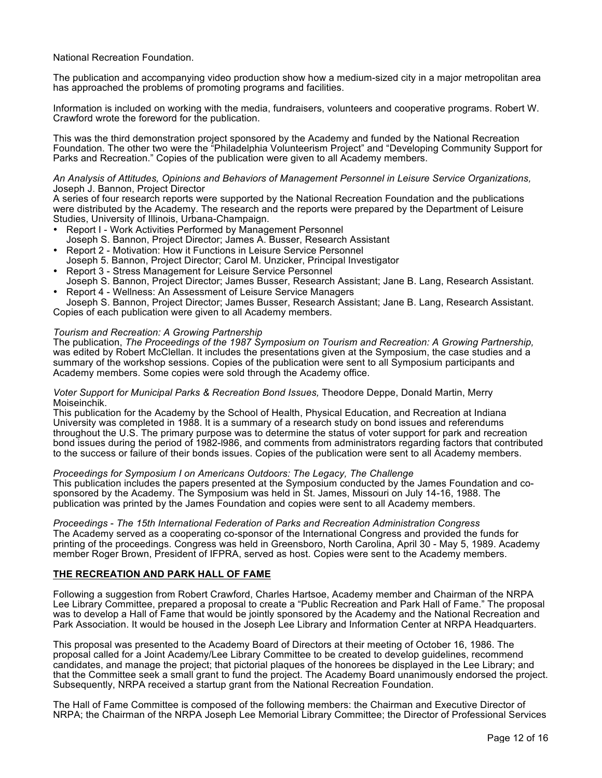### National Recreation Foundation.

The publication and accompanying video production show how a medium-sized city in a major metropolitan area has approached the problems of promoting programs and facilities.

Information is included on working with the media, fundraisers, volunteers and cooperative programs. Robert W. Crawford wrote the foreword for the publication.

This was the third demonstration project sponsored by the Academy and funded by the National Recreation Foundation. The other two were the "Philadelphia Volunteerism Project" and "Developing Community Support for Parks and Recreation." Copies of the publication were given to all Academy members.

#### *An Analysis of Attitudes, Opinions and Behaviors of Management Personnel in Leisure Service Organizations,*  Joseph J. Bannon, Project Director

A series of four research reports were supported by the National Recreation Foundation and the publications were distributed by the Academy. The research and the reports were prepared by the Department of Leisure Studies, University of Illinois, Urbana-Champaign.

- Report I Work Activities Performed by Management Personnel
- Joseph S. Bannon, Project Director; James A. Busser, Research Assistant
- Report 2 Motivation: How it Functions in Leisure Service Personnel Joseph 5. Bannon, Project Director; Carol M. Unzicker, Principal Investigator
- Report 3 Stress Management for Leisure Service Personnel
- Joseph S. Bannon, Project Director; James Busser, Research Assistant; Jane B. Lang, Research Assistant. • Report 4 - Wellness: An Assessment of Leisure Service Managers

Joseph S. Bannon, Project Director; James Busser, Research Assistant; Jane B. Lang, Research Assistant. Copies of each publication were given to all Academy members.

### *Tourism and Recreation: A Growing Partnership*

The publication, *The Proceedings of the 1987 Symposium on Tourism and Recreation: A Growing Partnership,*  was edited by Robert McClellan. It includes the presentations given at the Symposium, the case studies and a summary of the workshop sessions. Copies of the publication were sent to all Symposium participants and Academy members. Some copies were sold through the Academy office.

#### *Voter Support for Municipal Parks & Recreation Bond Issues,* Theodore Deppe, Donald Martin, Merry Moiseinchik.

This publication for the Academy by the School of Health, Physical Education, and Recreation at Indiana University was completed in 1988. It is a summary of a research study on bond issues and referendums throughout the U.S. The primary purpose was to determine the status of voter support for park and recreation bond issues during the period of 1982-l986, and comments from administrators regarding factors that contributed to the success or failure of their bonds issues. Copies of the publication were sent to all Academy members.

*Proceedings for Symposium I on Americans Outdoors: The Legacy, The Challenge* This publication includes the papers presented at the Symposium conducted by the James Foundation and cosponsored by the Academy. The Symposium was held in St. James, Missouri on July 14-16, 1988. The publication was printed by the James Foundation and copies were sent to all Academy members.

*Proceedings* - *The 15th International Federation of Parks and Recreation Administration Congress* The Academy served as a cooperating co-sponsor of the International Congress and provided the funds for printing of the proceedings. Congress was held in Greensboro, North Carolina, April 30 - May 5, 1989. Academy member Roger Brown, President of IFPRA, served as host. Copies were sent to the Academy members.

### **THE RECREATION AND PARK HALL OF FAME**

Following a suggestion from Robert Crawford, Charles Hartsoe, Academy member and Chairman of the NRPA Lee Library Committee, prepared a proposal to create a "Public Recreation and Park Hall of Fame." The proposal was to develop a Hall of Fame that would be jointly sponsored by the Academy and the National Recreation and Park Association. It would be housed in the Joseph Lee Library and Information Center at NRPA Headquarters.

This proposal was presented to the Academy Board of Directors at their meeting of October 16, 1986. The proposal called for a Joint Academy/Lee Library Committee to be created to develop guidelines, recommend candidates, and manage the project; that pictorial plaques of the honorees be displayed in the Lee Library; and that the Committee seek a small grant to fund the project. The Academy Board unanimously endorsed the project. Subsequently, NRPA received a startup grant from the National Recreation Foundation.

The Hall of Fame Committee is composed of the following members: the Chairman and Executive Director of NRPA; the Chairman of the NRPA Joseph Lee Memorial Library Committee; the Director of Professional Services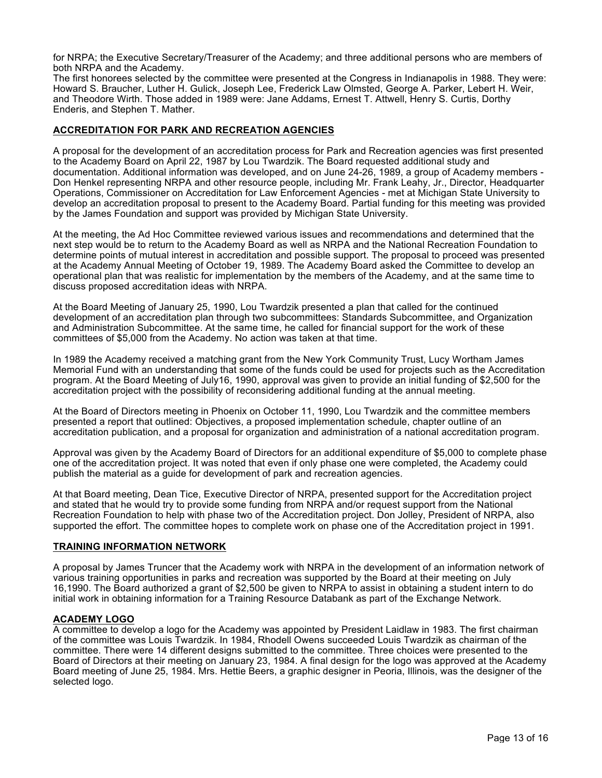for NRPA; the Executive Secretary/Treasurer of the Academy; and three additional persons who are members of both NRPA and the Academy.

The first honorees selected by the committee were presented at the Congress in Indianapolis in 1988. They were: Howard S. Braucher, Luther H. Gulick, Joseph Lee, Frederick Law Olmsted, George A. Parker, Lebert H. Weir, and Theodore Wirth. Those added in 1989 were: Jane Addams, Ernest T. Attwell, Henry S. Curtis, Dorthy Enderis, and Stephen T. Mather.

# **ACCREDITATION FOR PARK AND RECREATION AGENCIES**

A proposal for the development of an accreditation process for Park and Recreation agencies was first presented to the Academy Board on April 22, 1987 by Lou Twardzik. The Board requested additional study and documentation. Additional information was developed, and on June 24-26, 1989, a group of Academy members - Don Henkel representing NRPA and other resource people, including Mr. Frank Leahy, Jr., Director, Headquarter Operations, Commissioner on Accreditation for Law Enforcement Agencies - met at Michigan State University to develop an accreditation proposal to present to the Academy Board. Partial funding for this meeting was provided by the James Foundation and support was provided by Michigan State University.

At the meeting, the Ad Hoc Committee reviewed various issues and recommendations and determined that the next step would be to return to the Academy Board as well as NRPA and the National Recreation Foundation to determine points of mutual interest in accreditation and possible support. The proposal to proceed was presented at the Academy Annual Meeting of October 19, 1989. The Academy Board asked the Committee to develop an operational plan that was realistic for implementation by the members of the Academy, and at the same time to discuss proposed accreditation ideas with NRPA.

At the Board Meeting of January 25, 1990, Lou Twardzik presented a plan that called for the continued development of an accreditation plan through two subcommittees: Standards Subcommittee, and Organization and Administration Subcommittee. At the same time, he called for financial support for the work of these committees of \$5,000 from the Academy. No action was taken at that time.

In 1989 the Academy received a matching grant from the New York Community Trust, Lucy Wortham James Memorial Fund with an understanding that some of the funds could be used for projects such as the Accreditation program. At the Board Meeting of July16, 1990, approval was given to provide an initial funding of \$2,500 for the accreditation project with the possibility of reconsidering additional funding at the annual meeting.

At the Board of Directors meeting in Phoenix on October 11, 1990, Lou Twardzik and the committee members presented a report that outlined: Objectives, a proposed implementation schedule, chapter outline of an accreditation publication, and a proposal for organization and administration of a national accreditation program.

Approval was given by the Academy Board of Directors for an additional expenditure of \$5,000 to complete phase one of the accreditation project. It was noted that even if only phase one were completed, the Academy could publish the material as a guide for development of park and recreation agencies.

At that Board meeting, Dean Tice, Executive Director of NRPA, presented support for the Accreditation project and stated that he would try to provide some funding from NRPA and/or request support from the National Recreation Foundation to help with phase two of the Accreditation project. Don Jolley, President of NRPA, also supported the effort. The committee hopes to complete work on phase one of the Accreditation project in 1991.

## **TRAINING INFORMATION NETWORK**

A proposal by James Truncer that the Academy work with NRPA in the development of an information network of various training opportunities in parks and recreation was supported by the Board at their meeting on July 16,1990. The Board authorized a grant of \$2,500 be given to NRPA to assist in obtaining a student intern to do initial work in obtaining information for a Training Resource Databank as part of the Exchange Network.

## **ACADEMY LOGO**

A committee to develop a logo for the Academy was appointed by President Laidlaw in 1983. The first chairman of the committee was Louis Twardzik. In 1984, Rhodell Owens succeeded Louis Twardzik as chairman of the committee. There were 14 different designs submitted to the committee. Three choices were presented to the Board of Directors at their meeting on January 23, 1984. A final design for the logo was approved at the Academy Board meeting of June 25, 1984. Mrs. Hettie Beers, a graphic designer in Peoria, Illinois, was the designer of the selected logo.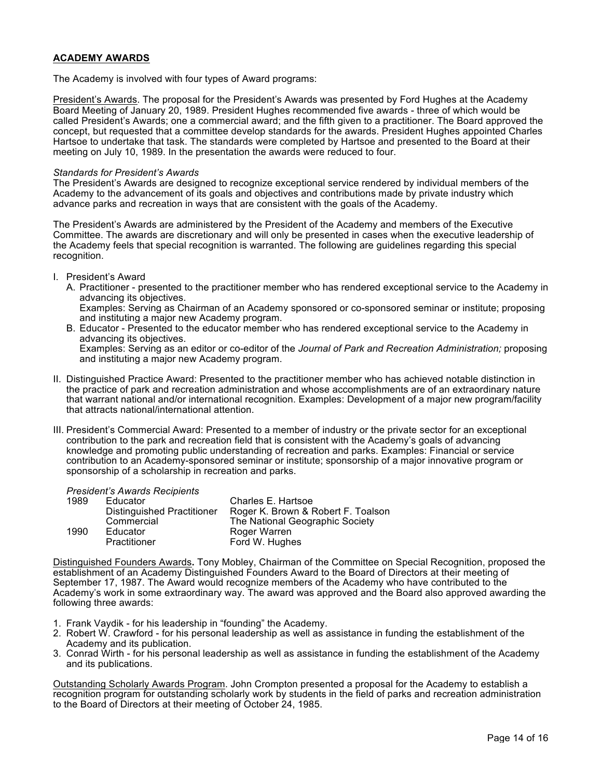# **ACADEMY AWARDS**

The Academy is involved with four types of Award programs:

President's Awards. The proposal for the President's Awards was presented by Ford Hughes at the Academy Board Meeting of January 20, 1989. President Hughes recommended five awards - three of which would be called President's Awards; one a commercial award; and the fifth given to a practitioner. The Board approved the concept, but requested that a committee develop standards for the awards. President Hughes appointed Charles Hartsoe to undertake that task. The standards were completed by Hartsoe and presented to the Board at their meeting on July 10, 1989. In the presentation the awards were reduced to four.

### *Standards for President's Awards*

The President's Awards are designed to recognize exceptional service rendered by individual members of the Academy to the advancement of its goals and objectives and contributions made by private industry which advance parks and recreation in ways that are consistent with the goals of the Academy.

The President's Awards are administered by the President of the Academy and members of the Executive Committee. The awards are discretionary and will only be presented in cases when the executive leadership of the Academy feels that special recognition is warranted. The following are guidelines regarding this special recognition.

- I. President's Award
	- A. Practitioner presented to the practitioner member who has rendered exceptional service to the Academy in advancing its objectives. Examples: Serving as Chairman of an Academy sponsored or co-sponsored seminar or institute; proposing

and instituting a major new Academy program.

B. Educator - Presented to the educator member who has rendered exceptional service to the Academy in advancing its objectives.

Examples: Serving as an editor or co-editor of the *Journal of Park and Recreation Administration;* proposing and instituting a major new Academy program.

- II. Distinguished Practice Award: Presented to the practitioner member who has achieved notable distinction in the practice of park and recreation administration and whose accomplishments are of an extraordinary nature that warrant national and/or international recognition. Examples: Development of a major new program/facility that attracts national/international attention.
- III. President's Commercial Award: Presented to a member of industry or the private sector for an exceptional contribution to the park and recreation field that is consistent with the Academy's goals of advancing knowledge and promoting public understanding of recreation and parks. Examples: Financial or service contribution to an Academy-sponsored seminar or institute; sponsorship of a major innovative program or sponsorship of a scholarship in recreation and parks.

## *President's Awards Recipients*

| 1989 | Educator                   | Charles E. Hartsoe                 |
|------|----------------------------|------------------------------------|
|      | Distinguished Practitioner | Roger K. Brown & Robert F. Toalson |
|      | Commercial                 | The National Geographic Society    |
| 1990 | Educator                   | Roger Warren                       |
|      | <b>Practitioner</b>        | Ford W. Hughes                     |

Distinguished Founders Awards**.** Tony Mobley, Chairman of the Committee on Special Recognition, proposed the establishment of an Academy Distinguished Founders Award to the Board of Directors at their meeting of September 17, 1987. The Award would recognize members of the Academy who have contributed to the Academy's work in some extraordinary way. The award was approved and the Board also approved awarding the following three awards:

- 1. Frank Vaydik for his leadership in "founding" the Academy.
- 2. Robert W. Crawford for his personal leadership as well as assistance in funding the establishment of the Academy and its publication.
- 3. Conrad Wirth for his personal leadership as well as assistance in funding the establishment of the Academy and its publications.

Outstanding Scholarly Awards Program. John Crompton presented a proposal for the Academy to establish a recognition program for outstanding scholarly work by students in the field of parks and recreation administration to the Board of Directors at their meeting of October 24, 1985.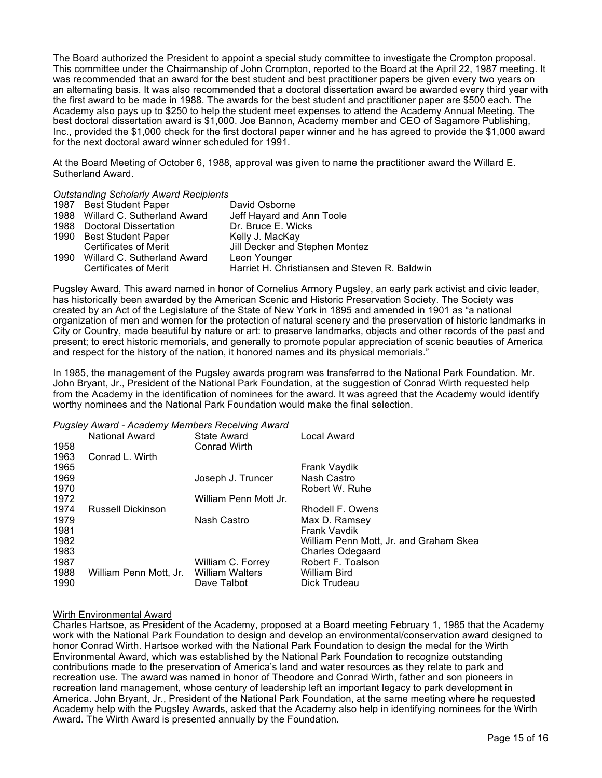The Board authorized the President to appoint a special study committee to investigate the Crompton proposal. This committee under the Chairmanship of John Crompton, reported to the Board at the April 22, 1987 meeting. It was recommended that an award for the best student and best practitioner papers be given every two years on an alternating basis. It was also recommended that a doctoral dissertation award be awarded every third year with the first award to be made in 1988. The awards for the best student and practitioner paper are \$500 each. The Academy also pays up to \$250 to help the student meet expenses to attend the Academy Annual Meeting. The best doctoral dissertation award is \$1,000. Joe Bannon, Academy member and CEO of Sagamore Publishing, Inc., provided the \$1,000 check for the first doctoral paper winner and he has agreed to provide the \$1,000 award for the next doctoral award winner scheduled for 1991.

At the Board Meeting of October 6, 1988, approval was given to name the practitioner award the Willard E. Sutherland Award.

### *Outstanding Scholarly Award Recipients*

| 1987 Best Student Paper          | David Osborne                                 |
|----------------------------------|-----------------------------------------------|
| 1988 Willard C. Sutherland Award | Jeff Hayard and Ann Toole                     |
| 1988 Doctoral Dissertation       | Dr. Bruce E. Wicks                            |
| 1990 Best Student Paper          | Kelly J. MacKay                               |
| Certificates of Merit            | Jill Decker and Stephen Montez                |
| 1990 Willard C. Sutherland Award | Leon Younger                                  |
| Certificates of Merit            | Harriet H. Christiansen and Steven R. Baldwin |

Pugsley Award, This award named in honor of Cornelius Armory Pugsley, an early park activist and civic leader, has historically been awarded by the American Scenic and Historic Preservation Society. The Society was created by an Act of the Legislature of the State of New York in 1895 and amended in 1901 as "a national organization of men and women for the protection of natural scenery and the preservation of historic landmarks in City or Country, made beautiful by nature or art: to preserve landmarks, objects and other records of the past and present; to erect historic memorials, and generally to promote popular appreciation of scenic beauties of America and respect for the history of the nation, it honored names and its physical memorials."

In 1985, the management of the Pugsley awards program was transferred to the National Park Foundation. Mr. John Bryant, Jr., President of the National Park Foundation, at the suggestion of Conrad Wirth requested help from the Academy in the identification of nominees for the award. It was agreed that the Academy would identify worthy nominees and the National Park Foundation would make the final selection.

#### *Pugsley Award - Academy Members Receiving Award*

| 1958 | . <b>. . .</b> .<br>National Award | State Award<br><b>Conrad Wirth</b> | Local Award                            |
|------|------------------------------------|------------------------------------|----------------------------------------|
| 1963 | Conrad L. Wirth                    |                                    |                                        |
| 1965 |                                    |                                    | Frank Vaydik                           |
| 1969 |                                    | Joseph J. Truncer                  | Nash Castro                            |
| 1970 |                                    |                                    | Robert W. Ruhe                         |
| 1972 |                                    | William Penn Mott Jr.              |                                        |
| 1974 | <b>Russell Dickinson</b>           |                                    | Rhodell F. Owens                       |
| 1979 |                                    | Nash Castro                        | Max D. Ramsey                          |
| 1981 |                                    |                                    | Frank Vavdik                           |
| 1982 |                                    |                                    | William Penn Mott, Jr. and Graham Skea |
| 1983 |                                    |                                    | <b>Charles Odegaard</b>                |
| 1987 |                                    | William C. Forrey                  | Robert F. Toalson                      |
| 1988 | William Penn Mott, Jr.             | William Walters                    | William Bird                           |
| 1990 |                                    | Dave Talbot                        | Dick Trudeau                           |
|      |                                    |                                    |                                        |

### Wirth Environmental Award

Charles Hartsoe, as President of the Academy, proposed at a Board meeting February 1, 1985 that the Academy work with the National Park Foundation to design and develop an environmental/conservation award designed to honor Conrad Wirth. Hartsoe worked with the National Park Foundation to design the medal for the Wirth Environmental Award, which was established by the National Park Foundation to recognize outstanding contributions made to the preservation of America's land and water resources as they relate to park and recreation use. The award was named in honor of Theodore and Conrad Wirth, father and son pioneers in recreation land management, whose century of leadership left an important legacy to park development in America. John Bryant, Jr., President of the National Park Foundation, at the same meeting where he requested Academy help with the Pugsley Awards, asked that the Academy also help in identifying nominees for the Wirth Award. The Wirth Award is presented annually by the Foundation.